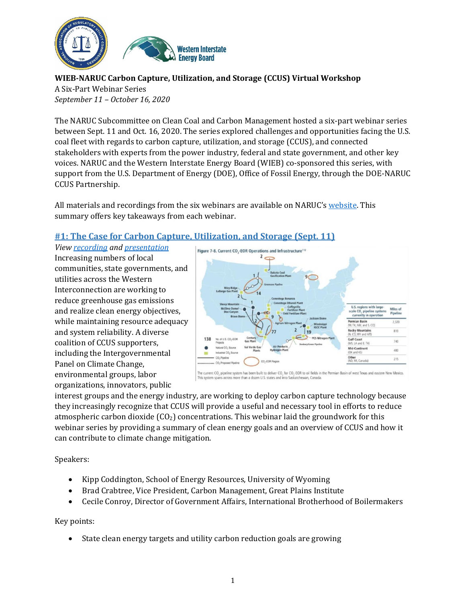

**WIEB-NARUC Carbon Capture, Utilization, and Storage (CCUS) Virtual Workshop**

A Six-Part Webinar Series *September 11 – October 16, 2020*

The NARUC Subcommittee on Clean Coal and Carbon Management hosted a six-part webinar series between Sept. 11 and Oct. 16, 2020. The series explored challenges and opportunities facing the U.S. coal fleet with regards to carbon capture, utilization, and storage (CCUS), and connected stakeholders with experts from the power industry, federal and state government, and other key voices. NARUC and the Western Interstate Energy Board (WIEB) co-sponsored this series, with support from the U.S. Department of Energy (DOE), Office of Fossil Energy, through the DOE-NARUC CCUS Partnership.

All materials and recordings from the six webinars are available on NARUC's [website.](https://www.naruc.org/cpi-1/energy-infrastructure-modernization/carbon-capture-utilization-and-storage/) This summary offers key takeaways from each webinar.

## **#1: The Case for Carbon Capture, Utilization, and Storage (Sept. 11)**

*View [recording](https://www.youtube.com/watch?v=-AOeYuse3s8) an[d presentation](https://pubs.naruc.org/pub/F668CE43-155D-0A36-3169-990124ABB0E6)* Increasing numbers of local communities, state governments, and utilities across the Western Interconnection are working to reduce greenhouse gas emissions and realize clean energy objectives, while maintaining resource adequacy and system reliability. A diverse coalition of CCUS supporters, including the Intergovernmental Panel on Climate Change, environmental groups, labor organizations, innovators, public



cross more than a dozen U.S. states and in

interest groups and the energy industry, are working to deploy carbon capture technology because they increasingly recognize that CCUS will provide a useful and necessary tool in efforts to reduce atmospheric carbon dioxide  $(CO_2)$  concentrations. This webinar laid the groundwork for this webinar series by providing a summary of clean energy goals and an overview of CCUS and how it can contribute to climate change mitigation.

Speakers:

- Kipp Coddington, School of Energy Resources, University of Wyoming
- Brad Crabtree, Vice President, Carbon Management, Great Plains Institute
- Cecile Conroy, Director of Government Affairs, International Brotherhood of Boilermakers

#### Key points:

State clean energy targets and utility carbon reduction goals are growing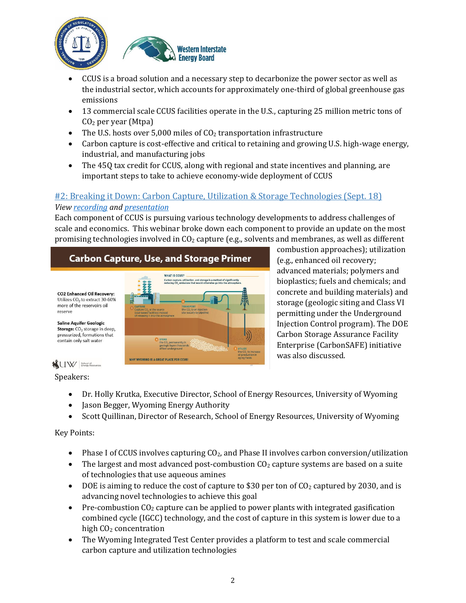



- CCUS is a broad solution and a necessary step to decarbonize the power sector as well as the industrial sector, which accounts for approximately one-third of global greenhouse gas emissions
- 13 commercial scale CCUS facilities operate in the U.S., capturing 25 million metric tons of CO<sup>2</sup> per year (Mtpa)
- The U.S. hosts over 5,000 miles of  $CO<sub>2</sub>$  transportation infrastructure
- Carbon capture is cost-effective and critical to retaining and growing U.S. high-wage energy, industrial, and manufacturing jobs
- The 45Q tax credit for CCUS, along with regional and state incentives and planning, are important steps to take to achieve economy-wide deployment of CCUS

# #2: Breaking it Down: Carbon Capture, Utilization & Storage Technologies (Sept. 18) *View [recording](https://www.youtube.com/watch?v=fNdyCt6chVA) an[d presentation](https://pubs.naruc.org/pub/F67C666F-155D-0A36-311B-A4AE86B4C148))*

Each component of CCUS is pursuing various technology developments to address challenges of scale and economics. This webinar broke down each component to provide an update on the most promising technologies involved in  $CO<sub>2</sub>$  capture (e.g., solvents and membranes, as well as different

# **Carbon Capture, Use, and Storage Primer**



combustion approaches); utilization (e.g., enhanced oil recovery; advanced materials; polymers and bioplastics; fuels and chemicals; and concrete and building materials) and storage (geologic siting and Class VI permitting under the Underground Injection Control program). The DOE Carbon Storage Assurance Facility Enterprise (CarbonSAFE) initiative was also discussed.

reserve

# W Enhol of Enhorsement Prospersor

Speakers:

- Dr. Holly Krutka, Executive Director, School of Energy Resources, University of Wyoming
- Jason Begger, Wyoming Energy Authority
- Scott Quillinan, Director of Research, School of Energy Resources, University of Wyoming

# Key Points:

- Phase I of CCUS involves capturing  $CO<sub>2</sub>$ , and Phase II involves carbon conversion/utilization
- $\bullet$  The largest and most advanced post-combustion CO<sub>2</sub> capture systems are based on a suite of technologies that use aqueous amines
- $\bullet$  DOE is aiming to reduce the cost of capture to \$30 per ton of CO<sub>2</sub> captured by 2030, and is advancing novel technologies to achieve this goal
- Pre-combustion  $CO<sub>2</sub>$  capture can be applied to power plants with integrated gasification combined cycle (IGCC) technology, and the cost of capture in this system is lower due to a high CO<sub>2</sub> concentration
- The Wyoming Integrated Test Center provides a platform to test and scale commercial carbon capture and utilization technologies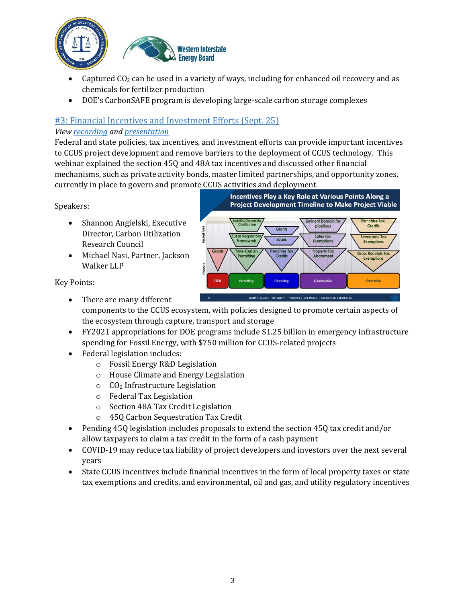



- Captured  $CO<sub>2</sub>$  can be used in a variety of ways, including for enhanced oil recovery and as chemicals for fertilizer production
- DOE's CarbonSAFE program is developing large-scale carbon storage complexes

# #3: Financial Incentives and Investment Efforts (Sept. 25)

#### *View [recording](https://www.youtube.com/watch?v=7gmNYryWQ7o) an[d presentation](https://pubs.naruc.org/pub/F68B136C-155D-0A36-31F7-9C73B3E1C591)*

Federal and state policies, tax incentives, and investment efforts can provide important incentives to CCUS project development and remove barriers to the deployment of CCUS technology. This webinar explained the section 45Q and 48A tax incentives and discussed other financial mechanisms, such as private activity bonds, master limited partnerships, and opportunity zones, currently in place to govern and promote CCUS activities and deployment.

Speakers:

- Shannon Angielski, Executive Director, Carbon Utilization Research Council
- Michael Nasi, Partner, Jackson Walker LLP

Key Points:



- There are many different components to the CCUS ecosystem, with policies designed to promote certain aspects of the ecosystem through capture, transport and storage
- FY2021 appropriations for DOE programs include \$1.25 billion in emergency infrastructure spending for Fossil Energy, with \$750 million for CCUS-related projects
- Federal legislation includes:
	- o Fossil Energy R&D Legislation
	- o House Climate and Energy Legislation
	- o CO<sup>2</sup> Infrastructure Legislation
	- o Federal Tax Legislation
	- o Section 48A Tax Credit Legislation
	- o 45Q Carbon Sequestration Tax Credit
- Pending 45Q legislation includes proposals to extend the section 45Q tax credit and/or allow taxpayers to claim a tax credit in the form of a cash payment
- COVID-19 may reduce tax liability of project developers and investors over the next several years
- State CCUS incentives include financial incentives in the form of local property taxes or state tax exemptions and credits, and environmental, oil and gas, and utility regulatory incentives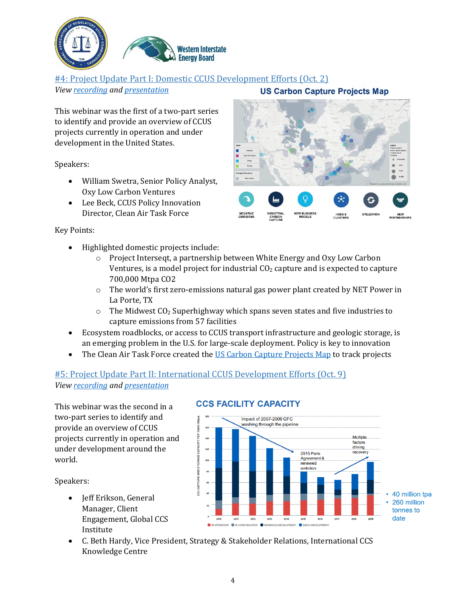

## #4: Project Update Part I: Domestic CCUS Development Efforts (Oct. 2)

*View [recording](https://www.youtube.com/watch?v=BaZbcufoacE) an[d presentation](https://pubs.naruc.org/pub/BCCE42E9-155D-0A36-31DA-E86241CF67F8)*

This webinar was the first of a two-part series to identify and provide an overview of CCUS projects currently in operation and under development in the United States.

Speakers:

- William Swetra, Senior Policy Analyst, Oxy Low Carbon Ventures
- Lee Beck, CCUS Policy Innovation Director, Clean Air Task Force

#### Key Points:

- Highlighted domestic projects include:
	- o Project Interseqt, a partnership between White Energy and Oxy Low Carbon Ventures, is a model project for industrial  $CO<sub>2</sub>$  capture and is expected to capture 700,000 Mtpa CO2
	- $\circ$  The world's first zero-emissions natural gas power plant created by NET Power in La Porte, TX
	- $\circ$  The Midwest CO<sub>2</sub> Superhighway which spans seven states and five industries to capture emissions from 57 facilities
- Ecosystem roadblocks, or access to CCUS transport infrastructure and geologic storage, is an emerging problem in the U.S. for large-scale deployment. Policy is key to innovation
- The Clean Air Task Force created the [US Carbon Capture Projects Map](https://www.catf.us/2020/07/ccus-interactive-map/) to track projects

## #5: Project Update Part II: International CCUS Development Efforts (Oct. 9) *View [recording](https://www.youtube.com/watch?v=GAdaycwAZ8Q) an[d presentation](https://pubs.naruc.org/pub/95B7A980-155D-0A36-312B-F53B438B7CDE)*

This webinar was the second in a two-part series to identify and provide an overview of CCUS projects currently in operation and under development around the world.

Speakers:

- Jeff Erikson, General Manager, Client Engagement, Global CCS Institute
- Impact of 2007-2009 GFC ashing through the pipeline Multiple factors<br>driving recover 2015 Paris Agreement & renewed nhition **Sam APTURE** 40 million tpa 260 million tonnes to date
- 

#### **CCS FACILITY CAPACITY**